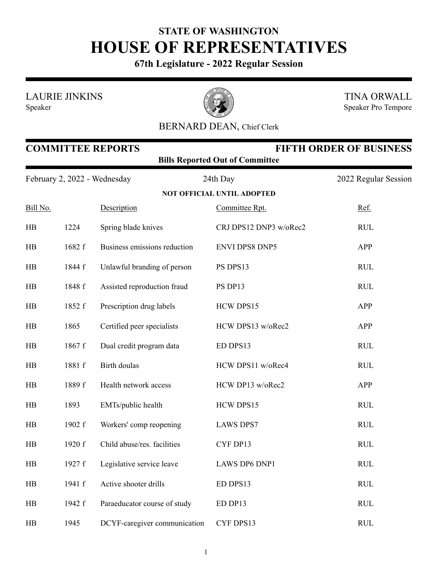## **STATE OF WASHINGTON HOUSE OF REPRESENTATIVES**

**67th Legislature - 2022 Regular Session**

LAURIE JINKINS

Speaker



TINA ORWALL Speaker Pro Tempore

## BERNARD DEAN, Chief Clerk

| <b>COMMITTEE REPORTS</b><br><b>FIFTH ORDER OF BUSINESS</b><br><b>Bills Reported Out of Committee</b> |        |                              |                                   |                      |  |  |
|------------------------------------------------------------------------------------------------------|--------|------------------------------|-----------------------------------|----------------------|--|--|
| February 2, 2022 - Wednesday                                                                         |        |                              | 24th Day                          | 2022 Regular Session |  |  |
|                                                                                                      |        |                              | <b>NOT OFFICIAL UNTIL ADOPTED</b> |                      |  |  |
| Bill No.                                                                                             |        | Description                  | Committee Rpt.                    | Ref.                 |  |  |
| HB                                                                                                   | 1224   | Spring blade knives          | CRJ DPS12 DNP3 w/oRec2            | <b>RUL</b>           |  |  |
| HB                                                                                                   | 1682 f | Business emissions reduction | <b>ENVI DPS8 DNP5</b>             | APP                  |  |  |
| HB                                                                                                   | 1844 f | Unlawful branding of person  | PS DPS13                          | <b>RUL</b>           |  |  |
| HB                                                                                                   | 1848 f | Assisted reproduction fraud  | PS DP13                           | <b>RUL</b>           |  |  |
| HB                                                                                                   | 1852 f | Prescription drug labels     | HCW DPS15                         | APP                  |  |  |
| HB                                                                                                   | 1865   | Certified peer specialists   | HCW DPS13 w/oRec2                 | APP                  |  |  |
| HB                                                                                                   | 1867 f | Dual credit program data     | ED DPS13                          | <b>RUL</b>           |  |  |
| HB                                                                                                   | 1881 f | Birth doulas                 | HCW DPS11 w/oRec4                 | <b>RUL</b>           |  |  |
| HB                                                                                                   | 1889 f | Health network access        | HCW DP13 w/oRec2                  | APP                  |  |  |
| HB                                                                                                   | 1893   | EMTs/public health           | HCW DPS15                         | RUL                  |  |  |
| HB                                                                                                   | 1902 f | Workers' comp reopening      | <b>LAWS DPS7</b>                  | <b>RUL</b>           |  |  |
| HB                                                                                                   | 1920 f | Child abuse/res. facilities  | CYF DP13                          | RUL                  |  |  |
| HB                                                                                                   | 1927 f | Legislative service leave    | LAWS DP6 DNP1                     | <b>RUL</b>           |  |  |
| HB                                                                                                   | 1941 f | Active shooter drills        | ED DPS13                          | <b>RUL</b>           |  |  |
| HB                                                                                                   | 1942 f | Paraeducator course of study | ED DP13                           | <b>RUL</b>           |  |  |
| HB                                                                                                   | 1945   | DCYF-caregiver communication | CYF DPS13                         | <b>RUL</b>           |  |  |